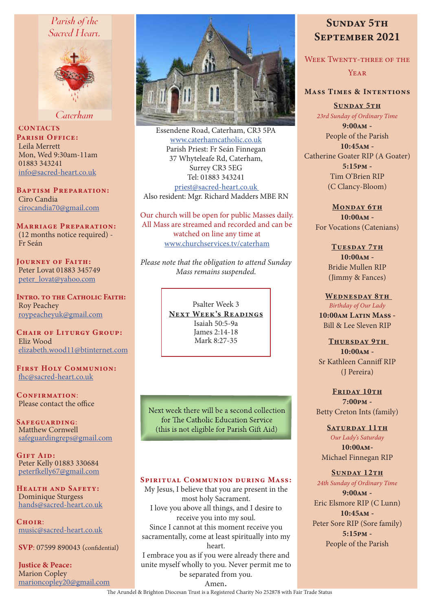## Parish of the Sacred Heart.



Caterham

**CONTACTS** PARISH OFFICE: Leila Merrett Mon, Wed 9:30am-11am 01883 343241 info@sacred-heart.co.uk

Baptism Preparation: Ciro Candia cirocandia70@gmail.com

Marriage Preparation: (12 months notice required) - Fr Seán

Journey of Faith: Peter Lovat 01883 345749 peter\_lovat@yahoo.com

Intro. to the Catholic Faith: Roy Peachey roypeacheyuk@gmail.com

CHAIR OF LITURGY GROUP: Eliz Wood elizabeth.wood11@btinternet.com

First Holy Communion: fhc@sacred-heart.co.uk

CONFIRMATION: Please contact the office

Safeguarding: Matthew Cornwell safeguardingreps@gmail.com

GIFT AID: Peter Kelly 01883 330684 peterfkelly67@gmail.com

HEALTH AND SAFETY: Dominique Sturgess hands@sacred-heart.co.uk

 $C$ HOIR: music@sacred-heart.co.uk

SVP: 07599 890043 (confidential)

Justice & Peace: Marion Copley marioncopley20@gmail.com



Essendene Road, Caterham, CR3 5PA www.caterhamcatholic.co.uk Parish Priest: Fr Seán Finnegan 37 Whyteleafe Rd, Caterham, Surrey CR3 5EG Tel: 01883 343241 priest@sacred-heart.co.uk Also resident: Mgr. Richard Madders MBE RN

Our church will be open for public Masses daily. All Mass are streamed and recorded and can be watched on line any time at www.churchservices.tv/caterham

*Please note that the obligation to attend Sunday Mass remains suspended.*

> Psalter Week 3 NEXT WEEK'S READINGS Isaiah 50:5-9a James 2:14-18 Mark 8:27-35

Next week there will be a second collection for The Catholic Education Service (this is not eligible for Parish Gift Aid)

#### SPIRITUAL COMMUNION DURING MASS:

My Jesus, I believe that you are present in the most holy Sacrament. I love you above all things, and I desire to receive you into my soul. Since I cannot at this moment receive you sacramentally, come at least spiritually into my heart. I embrace you as if you were already there and

unite myself wholly to you. Never permit me to be separated from you.

# SUNDAY 5TH September 2021

WEEK TWENTY-THREE OF THE

**YEAR** 

## Mass Times & Intentions

SUNDAY 5TH *23rd Sunday of Ordinary Time*

9:00am - People of the Parish 10:45am - Catherine Goater RIP (A Goater) 5:15pm - Tim O'Brien RIP (C Clancy-Bloom)

> MONDAY 6TH 10:00am - For Vocations (Catenians)

> > TUESDAY 7TH 10:00am - Bridie Mullen RIP (Jimmy & Fances)

WEDNESDAY 8TH *Birthday of Our Lady* 10:00am Latin Mass -Bill & Lee Sleven RIP

THURSDAY 9TH 10:00am -

Sr Kathleen Canniff RIP (J Pereira)

FRIDAY 10TH 7:00pm - Betty Creton Ints (family)

> SATURDAY 11TH *Our Lady's Saturday*

10:00am-Michael Finnegan RIP

SUNDAY 12TH *24th Sunday of Ordinary Time* 9:00am - Eric Elsmore RIP (C Lunn) 10:45am - Peter Sore RIP (Sore family) 5:15pm - People of the Parish